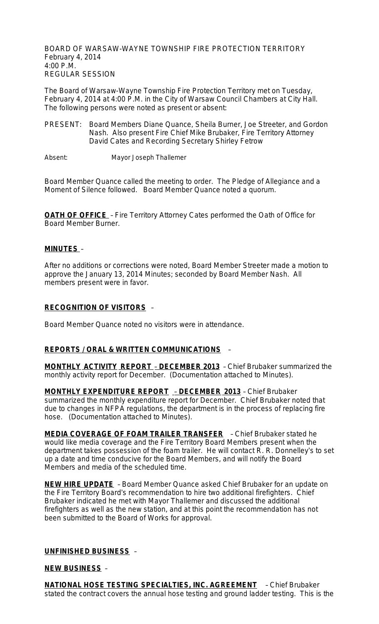BOARD OF WARSAW-WAYNE TOWNSHIP FIRE PROTECTION TERRITORY February 4, 2014 4:00 P.M. REGULAR SESSION

The Board of Warsaw-Wayne Township Fire Protection Territory met on Tuesday, February 4, 2014 at 4:00 P.M. in the City of Warsaw Council Chambers at City Hall. The following persons were noted as present or absent:

PRESENT: Board Members Diane Quance, Sheila Burner, Joe Streeter, and Gordon Nash. Also present Fire Chief Mike Brubaker, Fire Territory Attorney David Cates and Recording Secretary Shirley Fetrow

Absent: Mayor Joseph Thallemer

Board Member Quance called the meeting to order. The Pledge of Allegiance and a Moment of Silence followed. Board Member Quance noted a quorum.

**OATH OF OFFICE** – Fire Territory Attorney Cates performed the Oath of Office for Board Member Burner.

## **MINUTES** –

After no additions or corrections were noted, Board Member Streeter made a motion to approve the January 13, 2014 Minutes; seconded by Board Member Nash. All members present were in favor.

#### **RECOGNITION OF VISITORS** –

Board Member Quance noted no visitors were in attendance.

## **REPORTS / ORAL & WRITTEN COMMUNICATIONS** –

**MONTHLY ACTIVITY REPORT** – **DECEMBER 2013** – Chief Brubaker summarized the monthly activity report for December. (Documentation attached to Minutes).

**MONTHLY EXPENDITURE REPORT** – **DECEMBER 2013** – Chief Brubaker summarized the monthly expenditure report for December. Chief Brubaker noted that due to changes in NFPA regulations, the department is in the process of replacing fire hose. (Documentation attached to Minutes).

**MEDIA COVERAGE OF FOAM TRAILER TRANSFER** – Chief Brubaker stated he would like media coverage and the Fire Territory Board Members present when the department takes possession of the foam trailer. He will contact R. R. Donnelley's to set up a date and time conducive for the Board Members, and will notify the Board Members and media of the scheduled time.

**NEW HIRE UPDATE** – Board Member Quance asked Chief Brubaker for an update on the Fire Territory Board's recommendation to hire two additional firefighters. Chief Brubaker indicated he met with Mayor Thallemer and discussed the additional firefighters as well as the new station, and at this point the recommendation has not been submitted to the Board of Works for approval.

## **UNFINISHED BUSINESS** –

#### **NEW BUSINESS** –

**NATIONAL HOSE TESTING SPECIALTIES, INC. AGREEMENT** – Chief Brubaker stated the contract covers the annual hose testing and ground ladder testing. This is the